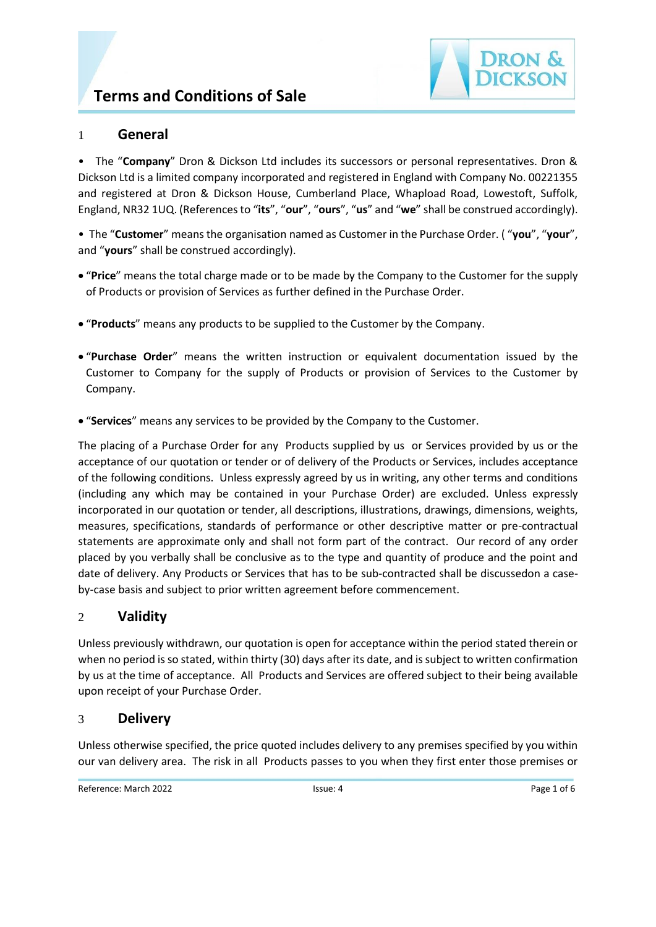# **Terms and Conditions of Sale**



## 1 **General**

• The "**Company**" Dron & Dickson Ltd includes its successors or personal representatives. Dron & Dickson Ltd is a limited company incorporated and registered in England with Company No. 00221355 and registered at Dron & Dickson House, Cumberland Place, Whapload Road, Lowestoft, Suffolk, England, NR32 1UQ. (References to "**its**", "**our**", "**ours**", "**us**" and "**we**" shall be construed accordingly).

• The "**Customer**" means the organisation named as Customer in the Purchase Order. ( "**you**", "**your**", and "**yours**" shall be construed accordingly).

- "**Price**" means the total charge made or to be made by the Company to the Customer for the supply of Products or provision of Services as further defined in the Purchase Order.
- "**Products**" means any products to be supplied to the Customer by the Company.
- "**Purchase Order**" means the written instruction or equivalent documentation issued by the Customer to Company for the supply of Products or provision of Services to the Customer by Company.
- "**Services**" means any services to be provided by the Company to the Customer.

The placing of a Purchase Order for any Products supplied by us or Services provided by us or the acceptance of our quotation or tender or of delivery of the Products or Services, includes acceptance of the following conditions. Unless expressly agreed by us in writing, any other terms and conditions (including any which may be contained in your Purchase Order) are excluded. Unless expressly incorporated in our quotation or tender, all descriptions, illustrations, drawings, dimensions, weights, measures, specifications, standards of performance or other descriptive matter or pre-contractual statements are approximate only and shall not form part of the contract. Our record of any order placed by you verbally shall be conclusive as to the type and quantity of produce and the point and date of delivery. Any Products or Services that has to be sub-contracted shall be discussedon a caseby-case basis and subject to prior written agreement before commencement.

## 2 **Validity**

Unless previously withdrawn, our quotation is open for acceptance within the period stated therein or when no period is so stated, within thirty (30) days after its date, and is subject to written confirmation by us at the time of acceptance. All Products and Services are offered subject to their being available upon receipt of your Purchase Order.

## 3 **Delivery**

Unless otherwise specified, the price quoted includes delivery to any premises specified by you within our van delivery area. The risk in all Products passes to you when they first enter those premises or

Reference: March 2022 **ISSUE: 4** ISSUE: 4 Page 1 of 6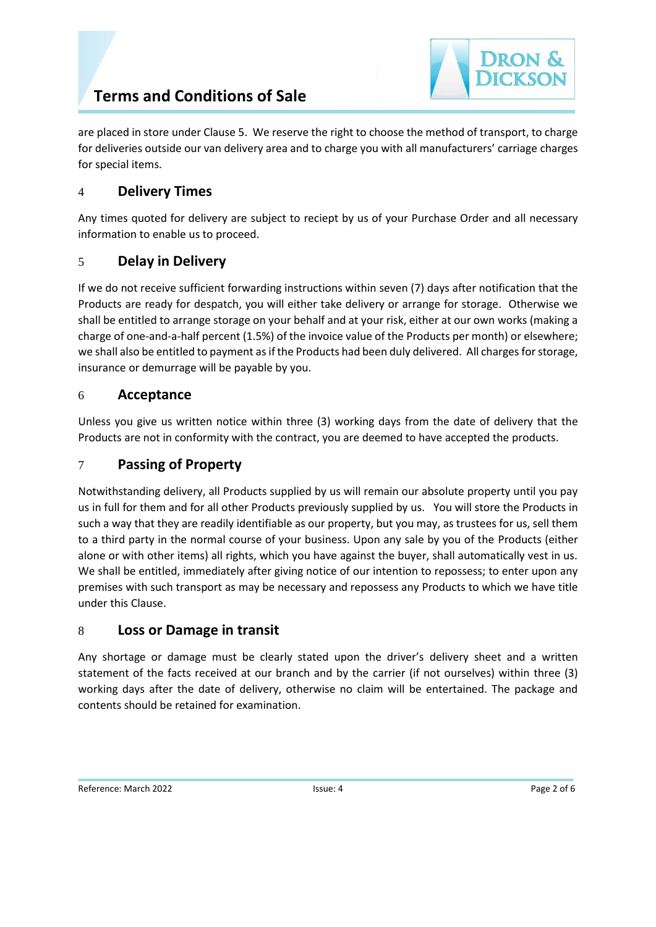are placed in store under Clause 5. We reserve the right to choose the method of transport, to charge for deliveries outside our van delivery area and to charge you with all manufacturers' carriage charges for special items.

# 4 **Delivery Times**

Any times quoted for delivery are subject to reciept by us of your Purchase Order and all necessary information to enable us to proceed.

# 5 **Delay in Delivery**

If we do not receive sufficient forwarding instructions within seven (7) days after notification that the Products are ready for despatch, you will either take delivery or arrange for storage. Otherwise we shall be entitled to arrange storage on your behalf and at your risk, either at our own works (making a charge of one-and-a-half percent (1.5%) of the invoice value of the Products per month) or elsewhere; we shall also be entitled to payment as if the Products had been duly delivered. All charges forstorage, insurance or demurrage will be payable by you.

# 6 **Acceptance**

Unless you give us written notice within three (3) working days from the date of delivery that the Products are not in conformity with the contract, you are deemed to have accepted the products.

# 7 **Passing of Property**

Notwithstanding delivery, all Products supplied by us will remain our absolute property until you pay us in full for them and for all other Products previously supplied by us. You will store the Products in such a way that they are readily identifiable as our property, but you may, as trustees for us, sell them to a third party in the normal course of your business. Upon any sale by you of the Products (either alone or with other items) all rights, which you have against the buyer, shall automatically vest in us. We shall be entitled, immediately after giving notice of our intention to repossess; to enter upon any premises with such transport as may be necessary and repossess any Products to which we have title under this Clause.

# 8 **Loss or Damage in transit**

Any shortage or damage must be clearly stated upon the driver's delivery sheet and a written statement of the facts received at our branch and by the carrier (if not ourselves) within three (3) working days after the date of delivery, otherwise no claim will be entertained. The package and contents should be retained for examination.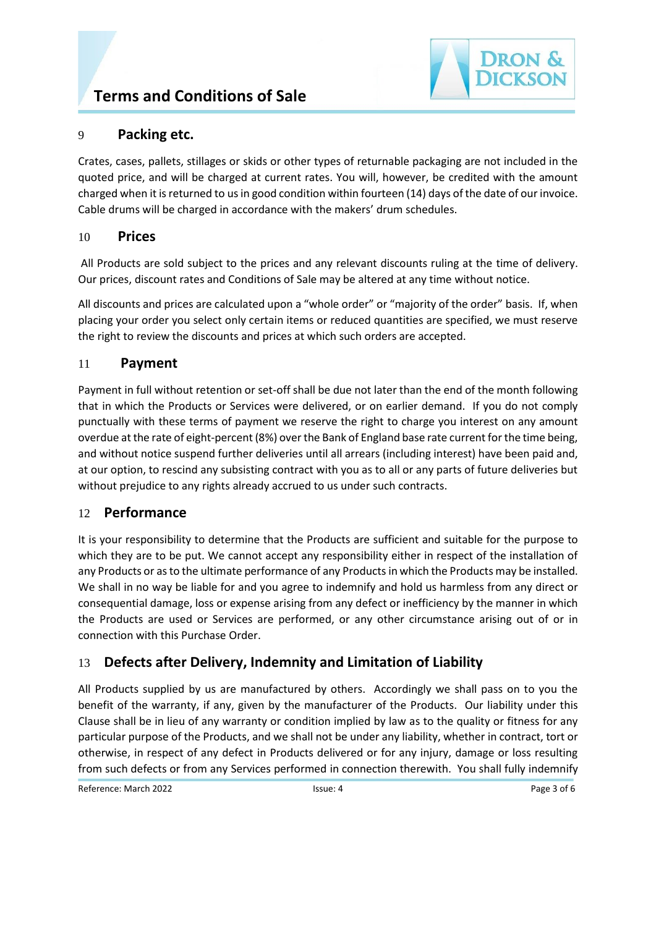

### 9 **Packing etc.**

Crates, cases, pallets, stillages or skids or other types of returnable packaging are not included in the quoted price, and will be charged at current rates. You will, however, be credited with the amount charged when it is returned to us in good condition within fourteen (14) days of the date of our invoice. Cable drums will be charged in accordance with the makers' drum schedules.

### 10 **Prices**

All Products are sold subject to the prices and any relevant discounts ruling at the time of delivery. Our prices, discount rates and Conditions of Sale may be altered at any time without notice.

All discounts and prices are calculated upon a "whole order" or "majority of the order" basis. If, when placing your order you select only certain items or reduced quantities are specified, we must reserve the right to review the discounts and prices at which such orders are accepted.

### 11 **Payment**

Payment in full without retention or set-off shall be due not later than the end of the month following that in which the Products or Services were delivered, or on earlier demand. If you do not comply punctually with these terms of payment we reserve the right to charge you interest on any amount overdue at the rate of eight-percent (8%) over the Bank of England base rate current for the time being, and without notice suspend further deliveries until all arrears (including interest) have been paid and, at our option, to rescind any subsisting contract with you as to all or any parts of future deliveries but without prejudice to any rights already accrued to us under such contracts.

### 12 **Performance**

It is your responsibility to determine that the Products are sufficient and suitable for the purpose to which they are to be put. We cannot accept any responsibility either in respect of the installation of any Products or as to the ultimate performance of any Products in which the Products may be installed. We shall in no way be liable for and you agree to indemnify and hold us harmless from any direct or consequential damage, loss or expense arising from any defect or inefficiency by the manner in which the Products are used or Services are performed, or any other circumstance arising out of or in connection with this Purchase Order.

# 13 **Defects after Delivery, Indemnity and Limitation of Liability**

All Products supplied by us are manufactured by others. Accordingly we shall pass on to you the benefit of the warranty, if any, given by the manufacturer of the Products. Our liability under this Clause shall be in lieu of any warranty or condition implied by law as to the quality or fitness for any particular purpose of the Products, and we shall not be under any liability, whether in contract, tort or otherwise, in respect of any defect in Products delivered or for any injury, damage or loss resulting from such defects or from any Services performed in connection therewith. You shall fully indemnify

Reference: March 2022 **ISSUE: 4** ISSUE: 4 Page 3 of 6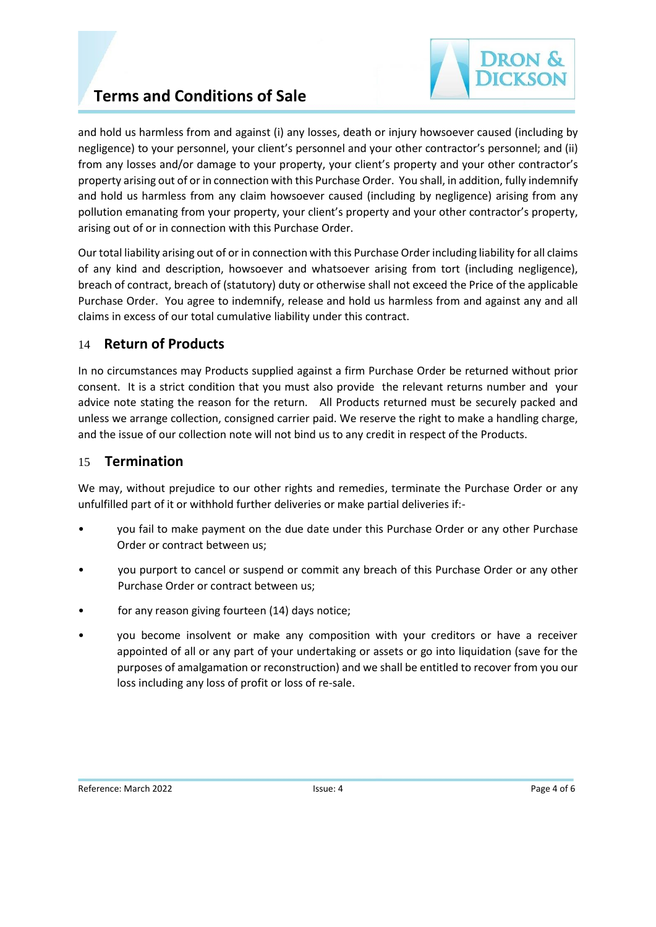

# **Terms and Conditions of Sale**

and hold us harmless from and against (i) any losses, death or injury howsoever caused (including by negligence) to your personnel, your client's personnel and your other contractor's personnel; and (ii) from any losses and/or damage to your property, your client's property and your other contractor's property arising out of or in connection with this Purchase Order. You shall, in addition, fully indemnify and hold us harmless from any claim howsoever caused (including by negligence) arising from any pollution emanating from your property, your client's property and your other contractor's property, arising out of or in connection with this Purchase Order.

Our total liability arising out of or in connection with this Purchase Order including liability for all claims of any kind and description, howsoever and whatsoever arising from tort (including negligence), breach of contract, breach of (statutory) duty or otherwise shall not exceed the Price of the applicable Purchase Order. You agree to indemnify, release and hold us harmless from and against any and all claims in excess of our total cumulative liability under this contract.

### 14 **Return of Products**

In no circumstances may Products supplied against a firm Purchase Order be returned without prior consent. It is a strict condition that you must also provide the relevant returns number and your advice note stating the reason for the return. All Products returned must be securely packed and unless we arrange collection, consigned carrier paid. We reserve the right to make a handling charge, and the issue of our collection note will not bind us to any credit in respect of the Products.

### 15 **Termination**

We may, without prejudice to our other rights and remedies, terminate the Purchase Order or any unfulfilled part of it or withhold further deliveries or make partial deliveries if:-

- you fail to make payment on the due date under this Purchase Order or any other Purchase Order or contract between us;
- you purport to cancel or suspend or commit any breach of this Purchase Order or any other Purchase Order or contract between us;
- for any reason giving fourteen (14) days notice;
- you become insolvent or make any composition with your creditors or have a receiver appointed of all or any part of your undertaking or assets or go into liquidation (save for the purposes of amalgamation or reconstruction) and we shall be entitled to recover from you our loss including any loss of profit or loss of re-sale.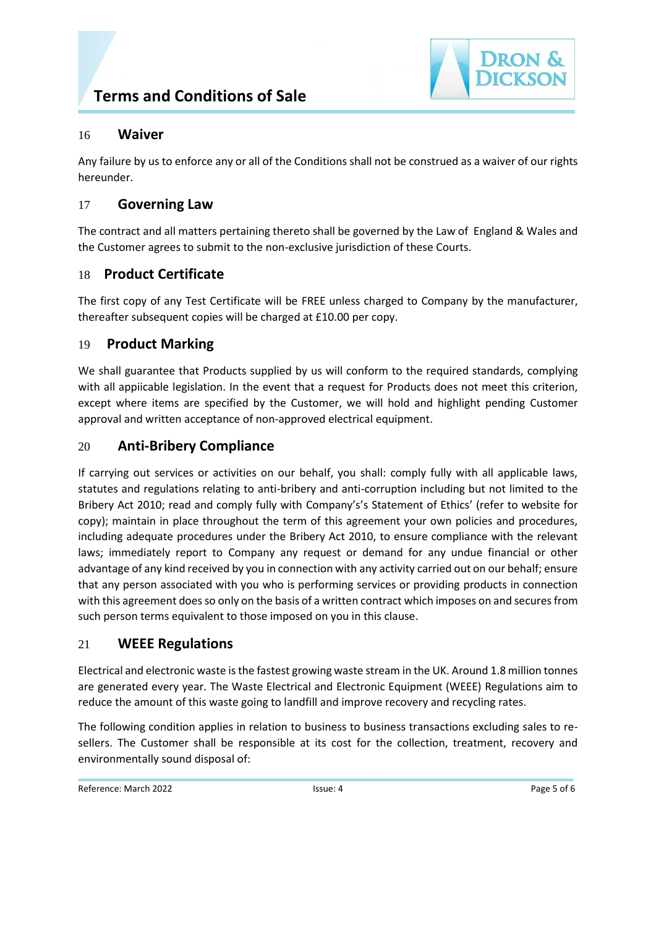



#### 16 **Waiver**

Any failure by us to enforce any or all of the Conditions shall not be construed as a waiver of our rights hereunder.

### 17 **Governing Law**

The contract and all matters pertaining thereto shall be governed by the Law of England & Wales and the Customer agrees to submit to the non-exclusive jurisdiction of these Courts.

### 18 **Product Certificate**

The first copy of any Test Certificate will be FREE unless charged to Company by the manufacturer, thereafter subsequent copies will be charged at £10.00 per copy.

### 19 **Product Marking**

We shall guarantee that Products supplied by us will conform to the required standards, complying with all appiicable legislation. In the event that a request for Products does not meet this criterion, except where items are specified by the Customer, we will hold and highlight pending Customer approval and written acceptance of non-approved electrical equipment.

### 20 **Anti-Bribery Compliance**

If carrying out services or activities on our behalf, you shall: comply fully with all applicable laws, statutes and regulations relating to anti-bribery and anti-corruption including but not limited to the Bribery Act 2010; read and comply fully with Company's's Statement of Ethics' (refer to website for copy); maintain in place throughout the term of this agreement your own policies and procedures, including adequate procedures under the Bribery Act 2010, to ensure compliance with the relevant laws; immediately report to Company any request or demand for any undue financial or other advantage of any kind received by you in connection with any activity carried out on our behalf; ensure that any person associated with you who is performing services or providing products in connection with this agreement does so only on the basis of a written contract which imposes on and secures from such person terms equivalent to those imposed on you in this clause.

### 21 **WEEE Regulations**

Electrical and electronic waste is the fastest growing waste stream in the UK. Around 1.8 million tonnes are generated every year. The Waste Electrical and Electronic Equipment (WEEE) Regulations aim to reduce the amount of this waste going to landfill and improve recovery and recycling rates.

The following condition applies in relation to business to business transactions excluding sales to resellers. The Customer shall be responsible at its cost for the collection, treatment, recovery and environmentally sound disposal of:

Reference: March 2022 **ISSUE: 4** ISSUE: 4 Page 5 of 6